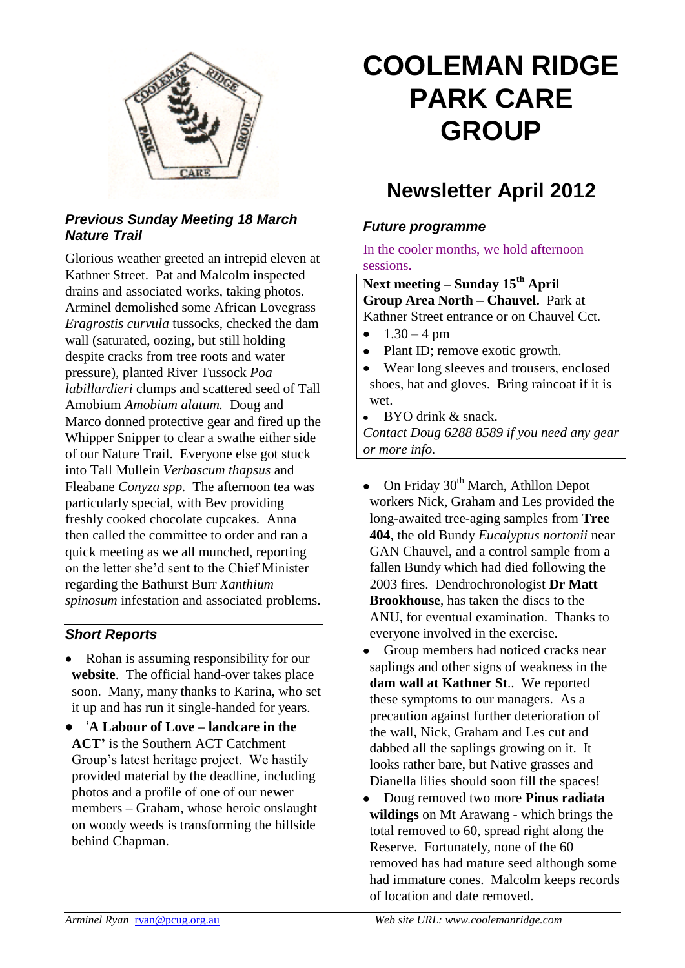

### *Previous Sunday Meeting 18 March Nature Trail*

Glorious weather greeted an intrepid eleven at Kathner Street. Pat and Malcolm inspected drains and associated works, taking photos. Arminel demolished some African Lovegrass *Eragrostis curvula* tussocks, checked the dam wall (saturated, oozing, but still holding despite cracks from tree roots and water pressure), planted River Tussock *Poa labillardieri* clumps and scattered seed of Tall Amobium *Amobium alatum.* Doug and Marco donned protective gear and fired up the Whipper Snipper to clear a swathe either side of our Nature Trail. Everyone else got stuck into Tall Mullein *Verbascum thapsus* and Fleabane *Conyza spp.* The afternoon tea was particularly special, with Bev providing freshly cooked chocolate cupcakes. Anna then called the committee to order and ran a quick meeting as we all munched, reporting on the letter she'd sent to the Chief Minister regarding the Bathurst Burr *Xanthium spinosum* infestation and associated problems.

#### *Short Reports*

- Rohan is assuming responsibility for our **website**. The official hand-over takes place soon. Many, many thanks to Karina, who set it up and has run it single-handed for years.
- '**A Labour of Love – landcare in the ACT'** is the Southern ACT Catchment Group's latest heritage project. We hastily provided material by the deadline, including photos and a profile of one of our newer members – Graham, whose heroic onslaught on woody weeds is transforming the hillside behind Chapman.

# **COOLEMAN RIDGE PARK CARE GROUP**

## **Newsletter April 2012**

#### *Future programme*

#### In the cooler months, we hold afternoon sessions.

**Next meeting – Sunday 15th April Group Area North – Chauvel.** Park at Kathner Street entrance or on Chauvel Cct.

- $1.30 4$  pm  $\bullet$
- Plant ID; remove exotic growth.  $\bullet$
- $\bullet$ Wear long sleeves and trousers, enclosed shoes, hat and gloves. Bring raincoat if it is wet.
- $\bullet$ BYO drink & snack.

*Contact Doug 6288 8589 if you need any gear or more info.*

- On Friday 30<sup>th</sup> March, Athllon Depot workers Nick, Graham and Les provided the long-awaited tree-aging samples from **Tree 404**, the old Bundy *Eucalyptus nortonii* near GAN Chauvel, and a control sample from a fallen Bundy which had died following the 2003 fires. Dendrochronologist **Dr Matt Brookhouse**, has taken the discs to the ANU, for eventual examination. Thanks to everyone involved in the exercise.
- Group members had noticed cracks near saplings and other signs of weakness in the **dam wall at Kathner St**.. We reported these symptoms to our managers. As a precaution against further deterioration of the wall, Nick, Graham and Les cut and dabbed all the saplings growing on it. It looks rather bare, but Native grasses and Dianella lilies should soon fill the spaces!
- $\bullet$ Doug removed two more **Pinus radiata wildings** on Mt Arawang - which brings the total removed to 60, spread right along the Reserve. Fortunately, none of the 60 removed has had mature seed although some had immature cones. Malcolm keeps records of location and date removed.